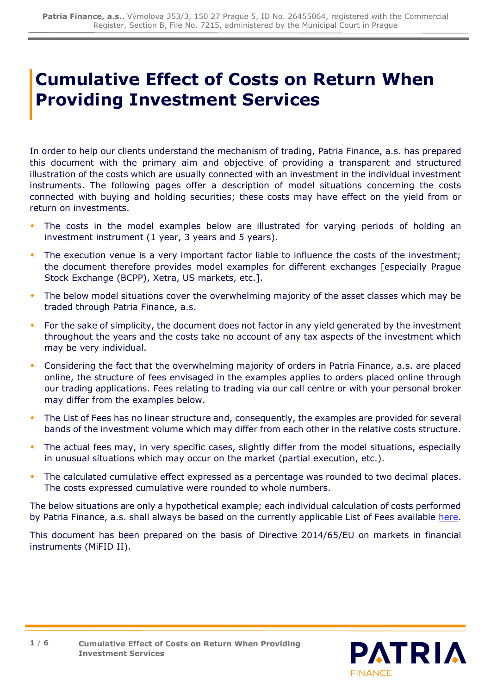# **Cumulative Effect of Costs on Return When Providing Investment Services**

In order to help our clients understand the mechanism of trading, Patria Finance, a.s. has prepared this document with the primary aim and objective of providing a transparent and structured illustration of the costs which are usually connected with an investment in the individual investment instruments. The following pages offer a description of model situations concerning the costs connected with buying and holding securities; these costs may have effect on the yield from or return on investments.

- The costs in the model examples below are illustrated for varying periods of holding an investment instrument (1 year, 3 years and 5 years).
- The execution venue is a very important factor liable to influence the costs of the investment; the document therefore provides model examples for different exchanges [especially Prague Stock Exchange (BCPP), Xetra, US markets, etc.].
- The below model situations cover the overwhelming majority of the asset classes which may be traded through Patria Finance, a.s.
- For the sake of simplicity, the document does not factor in any yield generated by the investment throughout the years and the costs take no account of any tax aspects of the investment which may be very individual.
- Considering the fact that the overwhelming majority of orders in Patria Finance, a.s. are placed online, the structure of fees envisaged in the examples applies to orders placed online through our trading applications. Fees relating to trading via our call centre or with your personal broker may differ from the examples below.
- The List of Fees has no linear structure and, consequently, the examples are provided for several bands of the investment volume which may differ from each other in the relative costs structure.
- The actual fees may, in very specific cases, slightly differ from the model situations, especially in unusual situations which may occur on the market (partial execution, etc.).
- The calculated cumulative effect expressed as a percentage was rounded to two decimal places. The costs expressed cumulative were rounded to whole numbers.

The below situations are only a hypothetical example; each individual calculation of costs performed by Patria Finance, a.s. shall always be based on the currently applicable List of Fees available [here.](https://cdn.patria.cz/Sazebnik-PD.en.pdf)

This document has been prepared on the basis of Directive 2014/65/EU on markets in financial instruments (MiFID II).

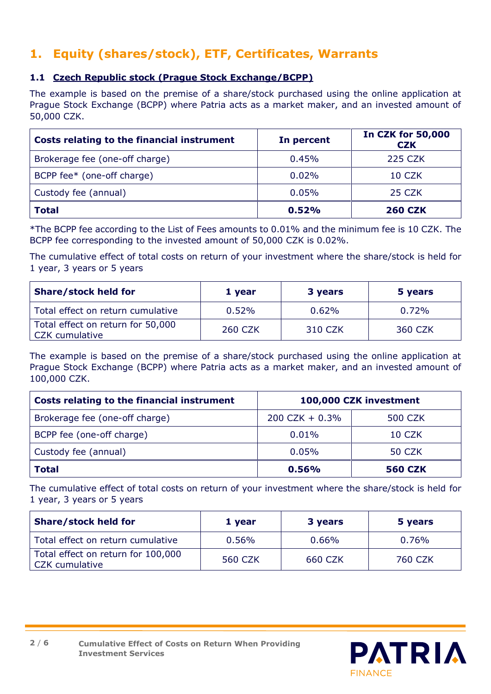## **1. Equity (shares/stock), ETF, Certificates, Warrants**

#### **1.1 Czech Republic stock (Prague Stock Exchange/BCPP)**

The example is based on the premise of a share/stock purchased using the online application at Prague Stock Exchange (BCPP) where Patria acts as a market maker, and an invested amount of 50,000 CZK.

| Costs relating to the financial instrument | In percent | <b>In CZK for 50,000</b><br><b>CZK</b> |
|--------------------------------------------|------------|----------------------------------------|
| Brokerage fee (one-off charge)             | 0.45%      | <b>225 CZK</b>                         |
| BCPP fee* (one-off charge)                 | 0.02%      | 10 CZK                                 |
| Custody fee (annual)                       | 0.05%      | 25 CZK                                 |
| <b>Total</b>                               | 0.52%      | <b>260 CZK</b>                         |

\*The BCPP fee according to the List of Fees amounts to 0.01% and the minimum fee is 10 CZK. The BCPP fee corresponding to the invested amount of 50,000 CZK is 0.02%.

The cumulative effect of total costs on return of your investment where the share/stock is held for 1 year, 3 years or 5 years

| <b>Share/stock held for</b>                         | 1 year         | 3 years | 5 years |
|-----------------------------------------------------|----------------|---------|---------|
| Total effect on return cumulative                   | 0.52%          | 0.62%   | 0.72%   |
| Total effect on return for 50,000<br>CZK cumulative | <b>260 CZK</b> | 310 CZK | 360 CZK |

The example is based on the premise of a share/stock purchased using the online application at Prague Stock Exchange (BCPP) where Patria acts as a market maker, and an invested amount of 100,000 CZK.

| Costs relating to the financial instrument | 100,000 CZK investment |                |
|--------------------------------------------|------------------------|----------------|
| Brokerage fee (one-off charge)             | $200$ CZK + 0.3%       | <b>500 CZK</b> |
| BCPP fee (one-off charge)                  | 0.01%                  | 10 CZK         |
| Custody fee (annual)                       | 0.05%                  | 50 CZK         |
| <b>Total</b>                               | 0.56%                  | <b>560 CZK</b> |

The cumulative effect of total costs on return of your investment where the share/stock is held for 1 year, 3 years or 5 years

| <b>Share/stock held for</b>                                 | 1 year   | 3 years | 5 years  |
|-------------------------------------------------------------|----------|---------|----------|
| Total effect on return cumulative                           | $0.56\%$ | 0.66%   | $0.76\%$ |
| Total effect on return for 100,000<br><b>CZK</b> cumulative | 560 CZK  | 660 CZK | 760 CZK  |

**PATRIA** 

**FINANCF** 

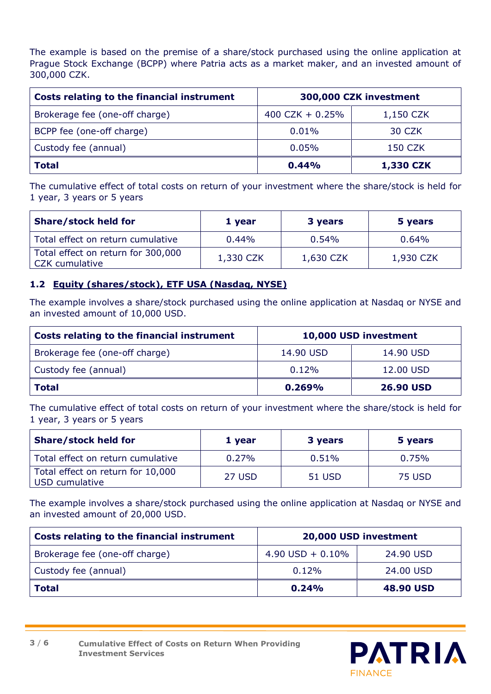The example is based on the premise of a share/stock purchased using the online application at Prague Stock Exchange (BCPP) where Patria acts as a market maker, and an invested amount of 300,000 CZK.

| Costs relating to the financial instrument | 300,000 CZK investment |                |
|--------------------------------------------|------------------------|----------------|
| Brokerage fee (one-off charge)             | 400 CZK + $0.25%$      | 1,150 CZK      |
| BCPP fee (one-off charge)                  | 0.01%                  | 30 CZK         |
| Custody fee (annual)                       | 0.05%                  | <b>150 CZK</b> |
| <b>Total</b>                               | 0.44%                  | 1,330 CZK      |

The cumulative effect of total costs on return of your investment where the share/stock is held for 1 year, 3 years or 5 years

| <b>Share/stock held for</b>                          | 1 year    | 3 years   | 5 years   |
|------------------------------------------------------|-----------|-----------|-----------|
| Total effect on return cumulative                    | $0.44\%$  | 0.54%     | $0.64\%$  |
| Total effect on return for 300,000<br>CZK cumulative | 1,330 CZK | 1,630 CZK | 1,930 CZK |

#### **1.2 Equity (shares/stock), ETF USA (Nasdaq, NYSE)**

The example involves a share/stock purchased using the online application at Nasdaq or NYSE and an invested amount of 10,000 USD.

| Costs relating to the financial instrument | 10,000 USD investment |                  |
|--------------------------------------------|-----------------------|------------------|
| Brokerage fee (one-off charge)             | 14.90 USD             | 14.90 USD        |
| Custody fee (annual)                       | $0.12\%$              | 12.00 USD        |
| <b>Total</b>                               | 0.269%                | <b>26.90 USD</b> |

The cumulative effect of total costs on return of your investment where the share/stock is held for 1 year, 3 years or 5 years

| <b>Share/stock held for</b>                         | 1 year   | 3 years | 5 years |
|-----------------------------------------------------|----------|---------|---------|
| Total effect on return cumulative                   | $0.27\%$ | 0.51%   | 0.75%   |
| Total effect on return for 10,000<br>USD cumulative | 27 USD   | 51 USD  | 75 USD  |

The example involves a share/stock purchased using the online application at Nasdaq or NYSE and an invested amount of 20,000 USD.

| Costs relating to the financial instrument | 20,000 USD investment |                  |
|--------------------------------------------|-----------------------|------------------|
| Brokerage fee (one-off charge)             | 4.90 USD + $0.10\%$   | 24.90 USD        |
| Custody fee (annual)                       | 0.12%                 | 24.00 USD        |
| <b>Total</b>                               | 0.24%                 | <b>48.90 USD</b> |

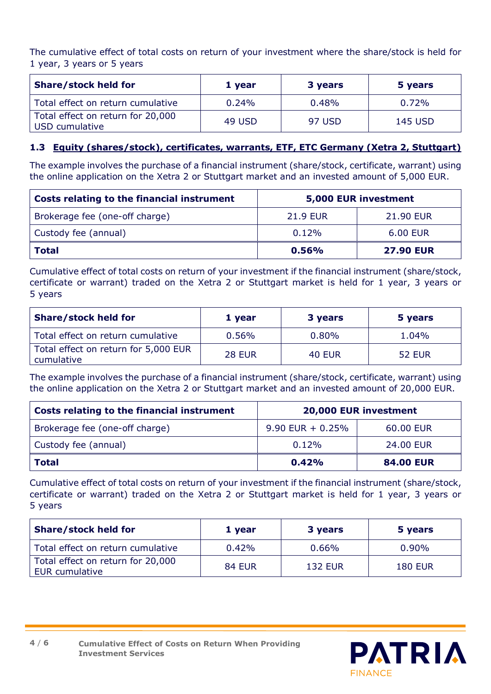The cumulative effect of total costs on return of your investment where the share/stock is held for 1 year, 3 years or 5 years

| <b>Share/stock held for</b>                         | 1 year   | 3 years | 5 years |
|-----------------------------------------------------|----------|---------|---------|
| Total effect on return cumulative                   | $0.24\%$ | 0.48%   | 0.72%   |
| Total effect on return for 20,000<br>USD cumulative | 49 USD   | 97 USD  | 145 USD |

#### **1.3 Equity (shares/stock), certificates, warrants, ETF, ETC Germany (Xetra 2, Stuttgart)**

The example involves the purchase of a financial instrument (share/stock, certificate, warrant) using the online application on the Xetra 2 or Stuttgart market and an invested amount of 5,000 EUR.

| Costs relating to the financial instrument | 5,000 EUR investment |                  |
|--------------------------------------------|----------------------|------------------|
| Brokerage fee (one-off charge)             | <b>21.9 EUR</b>      | 21.90 EUR        |
| Custody fee (annual)                       | 0.12%                | 6.00 EUR         |
| <b>Total</b>                               | 0.56%                | <b>27.90 EUR</b> |

Cumulative effect of total costs on return of your investment if the financial instrument (share/stock, certificate or warrant) traded on the Xetra 2 or Stuttgart market is held for 1 year, 3 years or 5 years

| <b>Share/stock held for</b>                        | 1 year        | 3 years       | 5 years       |
|----------------------------------------------------|---------------|---------------|---------------|
| Total effect on return cumulative                  | 0.56%         | 0.80%         | 1.04%         |
| Total effect on return for 5,000 EUR<br>cumulative | <b>28 EUR</b> | <b>40 EUR</b> | <b>52 EUR</b> |

The example involves the purchase of a financial instrument (share/stock, certificate, warrant) using the online application on the Xetra 2 or Stuttgart market and an invested amount of 20,000 EUR.

| Costs relating to the financial instrument | 20,000 EUR investment |                  |
|--------------------------------------------|-----------------------|------------------|
| Brokerage fee (one-off charge)             | $9.90$ EUR + 0.25%    | 60.00 EUR        |
| Custody fee (annual)                       | 0.12%                 | 24,00 EUR        |
| l Total                                    | 0.42%                 | <b>84.00 EUR</b> |

Cumulative effect of total costs on return of your investment if the financial instrument (share/stock, certificate or warrant) traded on the Xetra 2 or Stuttgart market is held for 1 year, 3 years or 5 years

| <b>Share/stock held for</b>                         | 1 year        | 3 years        | 5 years        |
|-----------------------------------------------------|---------------|----------------|----------------|
| Total effect on return cumulative                   | 0.42%         | 0.66%          | $0.90\%$       |
| Total effect on return for 20,000<br>EUR cumulative | <b>84 EUR</b> | <b>132 EUR</b> | <b>180 EUR</b> |



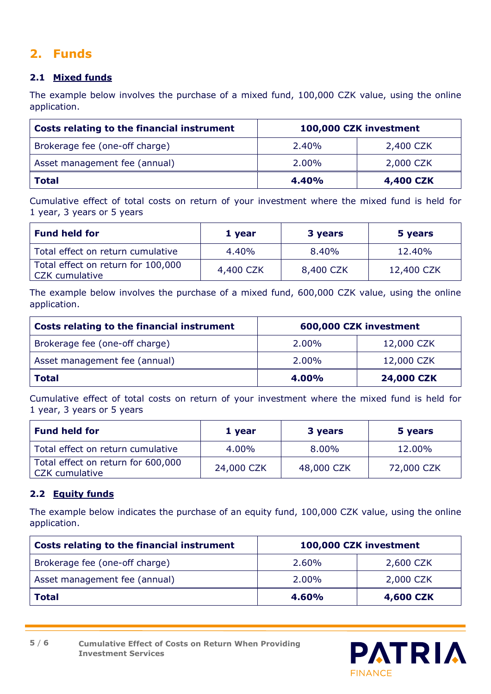### **2. Funds**

#### **2.1 Mixed funds**

The example below involves the purchase of a mixed fund, 100,000 CZK value, using the online application.

| Costs relating to the financial instrument | 100,000 CZK investment |           |
|--------------------------------------------|------------------------|-----------|
| Brokerage fee (one-off charge)             | 2.40%                  | 2,400 CZK |
| Asset management fee (annual)              | 2.00%                  | 2,000 CZK |
| <b>Total</b>                               | 4.40%                  | 4,400 CZK |

Cumulative effect of total costs on return of your investment where the mixed fund is held for 1 year, 3 years or 5 years

| <b>Fund held for</b>                                 | 1 year    | 3 years   | 5 years    |
|------------------------------------------------------|-----------|-----------|------------|
| Total effect on return cumulative                    | 4.40%     | 8.40%     | 12.40%     |
| Total effect on return for 100,000<br>CZK cumulative | 4,400 CZK | 8,400 CZK | 12,400 CZK |

The example below involves the purchase of a mixed fund, 600,000 CZK value, using the online application.

| Costs relating to the financial instrument | 600,000 CZK investment |                   |
|--------------------------------------------|------------------------|-------------------|
| Brokerage fee (one-off charge)             | 2.00%                  | 12,000 CZK        |
| Asset management fee (annual)              | 2.00%                  | 12,000 CZK        |
| Total                                      | 4.00%                  | <b>24,000 CZK</b> |

Cumulative effect of total costs on return of your investment where the mixed fund is held for 1 year, 3 years or 5 years

| <b>Fund held for</b>                                 | 1 year     | 3 years    | 5 years    |
|------------------------------------------------------|------------|------------|------------|
| Total effect on return cumulative                    | 4.00%      | 8.00%      | 12.00%     |
| Total effect on return for 600,000<br>CZK cumulative | 24,000 CZK | 48,000 CZK | 72,000 CZK |

#### **2.2 Equity funds**

The example below indicates the purchase of an equity fund, 100,000 CZK value, using the online application.

| Costs relating to the financial instrument | 100,000 CZK investment |           |
|--------------------------------------------|------------------------|-----------|
| Brokerage fee (one-off charge)             | 2.60%                  | 2,600 CZK |
| Asset management fee (annual)              | 2.00%                  | 2,000 CZK |
| <b>Total</b>                               | 4.60%                  | 4,600 CZK |